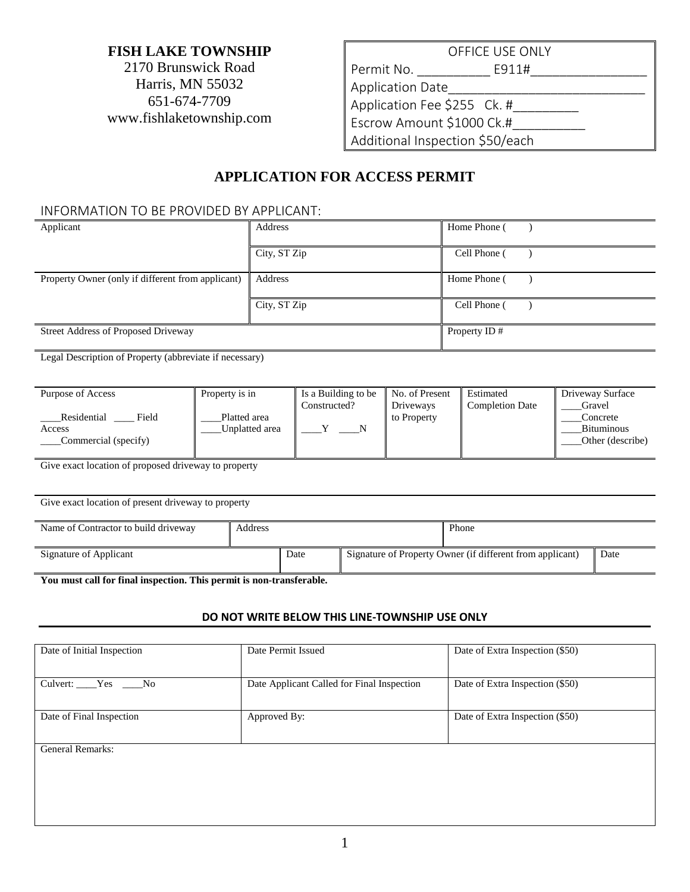### **FISH LAKE TOWNSHIP**

2170 Brunswick Road Harris, MN 55032 651-674-7709 www.fishlaketownship.com

# OFFICE USE ONLY Permit No. \_\_\_\_\_\_\_\_\_\_ E911#\_\_\_\_\_\_\_\_\_\_\_\_\_\_\_\_ Application Date\_\_\_\_\_\_\_\_\_\_\_\_\_\_\_\_\_\_\_\_\_\_\_\_\_\_\_ Application Fee \$255 Ck. # Escrow Amount \$1000 Ck.#\_\_\_\_\_\_\_\_\_\_ Additional Inspection \$50/each

## **APPLICATION FOR ACCESS PERMIT**

#### INFORMATION TO BE PROVIDED BY APPLICANT:

| Applicant                                               |                                | Address      |                                            |                             | Home Phone (                        |  |                                                   |
|---------------------------------------------------------|--------------------------------|--------------|--------------------------------------------|-----------------------------|-------------------------------------|--|---------------------------------------------------|
|                                                         |                                | City, ST Zip |                                            |                             | Cell Phone (                        |  |                                                   |
| Property Owner (only if different from applicant)       |                                | Address      |                                            |                             | Home Phone (                        |  |                                                   |
|                                                         |                                | City, ST Zip |                                            |                             | Cell Phone (                        |  |                                                   |
| <b>Street Address of Proposed Driveway</b>              |                                |              |                                            |                             | Property ID#                        |  |                                                   |
| Legal Description of Property (abbreviate if necessary) |                                |              |                                            |                             |                                     |  |                                                   |
| Purpose of Access                                       | Property is in                 |              | Is a Building to be<br>Constructed?        | No. of Present<br>Driveways | Estimated<br><b>Completion Date</b> |  | Driveway Surface<br>Gravel                        |
| Residential Field<br>Access<br>Commercial (specify)     | Platted area<br>Unplatted area |              | $\mathbf{Y}$<br>$\overline{\phantom{1}}$ N | to Property                 |                                     |  | Concrete<br><b>Bituminous</b><br>Other (describe) |

Give exact location of proposed driveway to property

| Give exact location of present driveway to property |         |      |                                                           |       |      |  |  |  |  |  |
|-----------------------------------------------------|---------|------|-----------------------------------------------------------|-------|------|--|--|--|--|--|
| Name of Contractor to build driveway                | Address |      |                                                           | Phone |      |  |  |  |  |  |
| Signature of Applicant                              |         | Date | Signature of Property Owner (if different from applicant) |       | Date |  |  |  |  |  |

**You must call for final inspection. This permit is non-transferable.**

#### **DO NOT WRITE BELOW THIS LINE-TOWNSHIP USE ONLY**

| Date Permit Issued | Date of Extra Inspection (\$50)            |  |  |
|--------------------|--------------------------------------------|--|--|
|                    | Date of Extra Inspection (\$50)            |  |  |
|                    |                                            |  |  |
| Approved By:       | Date of Extra Inspection (\$50)            |  |  |
|                    |                                            |  |  |
|                    |                                            |  |  |
|                    |                                            |  |  |
|                    |                                            |  |  |
|                    | Date Applicant Called for Final Inspection |  |  |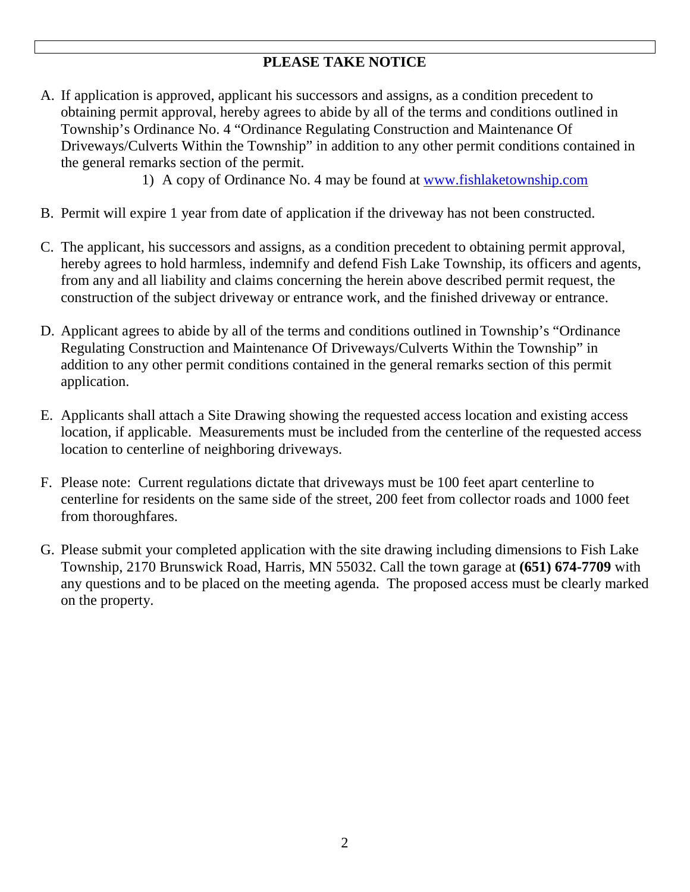## **PLEASE TAKE NOTICE**

A. If application is approved, applicant his successors and assigns, as a condition precedent to obtaining permit approval, hereby agrees to abide by all of the terms and conditions outlined in Township's Ordinance No. 4 "Ordinance Regulating Construction and Maintenance Of Driveways/Culverts Within the Township" in addition to any other permit conditions contained in the general remarks section of the permit.

1) A copy of Ordinance No. 4 may be found at [www.fishlaketownship.com](http://www.fishlaketownship.com/)

- B. Permit will expire 1 year from date of application if the driveway has not been constructed.
- C. The applicant, his successors and assigns, as a condition precedent to obtaining permit approval, hereby agrees to hold harmless, indemnify and defend Fish Lake Township, its officers and agents, from any and all liability and claims concerning the herein above described permit request, the construction of the subject driveway or entrance work, and the finished driveway or entrance.
- D. Applicant agrees to abide by all of the terms and conditions outlined in Township's "Ordinance Regulating Construction and Maintenance Of Driveways/Culverts Within the Township" in addition to any other permit conditions contained in the general remarks section of this permit application.
- E. Applicants shall attach a Site Drawing showing the requested access location and existing access location, if applicable. Measurements must be included from the centerline of the requested access location to centerline of neighboring driveways.
- F. Please note: Current regulations dictate that driveways must be 100 feet apart centerline to centerline for residents on the same side of the street, 200 feet from collector roads and 1000 feet from thoroughfares.
- G. Please submit your completed application with the site drawing including dimensions to Fish Lake Township, 2170 Brunswick Road, Harris, MN 55032. Call the town garage at **(651) 674-7709** with any questions and to be placed on the meeting agenda. The proposed access must be clearly marked on the property.